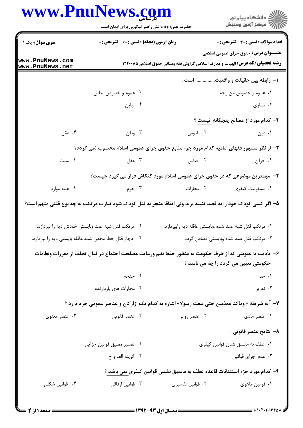| www.PnuNews.com                                      | حضرت علی(ع): دانش راهبر نیکویی برای ایمان است     |                                                                                                              | ِ<br>∭ دانشڪاه پيام نور<br>∭ مرڪز آزمون وسنڊش |
|------------------------------------------------------|---------------------------------------------------|--------------------------------------------------------------------------------------------------------------|-----------------------------------------------|
| سری سوال: یک ۱                                       | زمان آزمون (دقیقه) : تستی : 60 ٪ تشریحی : 0       |                                                                                                              | <b>تعداد سوالات : تستي : 30 ٪ تشريحي : 0</b>  |
| www.PnuNews.com<br>www.PnuNews.net                   |                                                   | <b>رشته تحصیلی/کد درس: ا</b> لهیات و معارف اسلامی گرایش فقه ومبانی حقوق اسلامی1۲۲۰۰۸۵                        | <b>عنـــوان درس:</b> حقوق جزای عمومی اسلامی   |
|                                                      |                                                   |                                                                                                              | ا− رابطه بین حقیقت و واقعیت است .             |
|                                                      | ۰۲ عموم و خصوص مطلق                               |                                                                                                              | ۰۱ عموم و خصوص من وجه                         |
|                                                      | ۰۴ تباین                                          |                                                                                                              | ۰۳ تساوی                                      |
|                                                      |                                                   |                                                                                                              | ۲- کدام مورد از مصالح پنجگانه نیست ؟          |
| ۰۴ عقل                                               | ۰۳ وطن                                            | ۰۲ ناموس                                                                                                     | ۰۱ دین                                        |
|                                                      |                                                   | ۳- از نظر مشهور فقهای امامیه کدام مورد جزء منابع حقوق جزای عمومی اسلام محسوب نمی گردد؟                       |                                               |
| ۰۴ سنت                                               |                                                   | <b>۱.</b> قرآن مسلم است است که است که مقل                                                                    |                                               |
|                                                      |                                                   | ۴- مهمترین موضوعی که در حقوق جزای عمومی اسلام مورد کنکاش قرار می گیرد چیست؟                                  |                                               |
| ۰۴ همه موارد                                         | ۰۳ جرم                                            | ۰۲ مجازات                                                                                                    | ۰۱ مسئوليت كيفري                              |
|                                                      |                                                   | ۵– اگر کسی کودک خود را به قصد تنبیه بزند ولی اتفاقا منجر به قتل کودک شود ضارب مرتکب به چه نوع قتلی متهم است؟ |                                               |
|                                                      | ۰۲ مرتکب قتل شبه عمد وبایستی خودش دیه را بپردازد. | ۰۱ مرتکب قتل شبه عمد شده وبایستی عاقله دیه رابپردازد.                                                        |                                               |
| ۰۴ دچار قتل خطأ محض شده عاقله بايستي ديه را بپردازد. |                                                   |                                                                                                              | ۰۳ مرتکب قتل عمد شده وبایستی قصاص گردد.       |
|                                                      |                                                   | ۶–  تأديب يا عقوبتي كه از طرف حكومت به منظور حفظ نظم ورعايت مصلحت اجتماع در قبال تخلف از مقررات ونظامات      |                                               |
|                                                      |                                                   |                                                                                                              | حکومتی تعیین می گردد را چه می نامند ؟         |
|                                                      | ۰۲ جنحه                                           |                                                                                                              | ۰۱ حد                                         |
|                                                      | ۰۴ مجازات های بازدارنده                           |                                                                                                              | ۰۳ تعزیر                                      |
|                                                      |                                                   | ۷- آیه شریفه «وماکنا معذبین حتی نبعث رسولا» اشاره به کدام یک ازارکان و عناصر عمومی جرم دارد ؟                |                                               |
| ۰۴ عنصر معنوی                                        | ۰۳ عنصر قانونی                                    | ۰۲ عنصر روانی                                                                                                | ۰۱ عنصر مادی                                  |
|                                                      |                                                   |                                                                                                              | ۸– نتايج عنصر قانوني :                        |
|                                                      | ۰۲ تفسیر مضیق قوانین جزایی                        |                                                                                                              | ۰۱ عطف به ماسبق شدن قوانین کیفری              |
|                                                      | ۰۴ گزينه الف و ج                                  |                                                                                                              | ۰۳ عدم اجرای قوانین                           |
|                                                      |                                                   | ۹– کدام مورد جزء استثنائات قاعده عطف به ماسبق نشدن قوانین کیفری نمی باشد ؟                                   |                                               |
| ۰۴ قوانین شکلی                                       | ۰۳ قوانین ارفاقی                                  | ۰۲ قوانین تفسیری                                                                                             | ۰۱ قوانین ماهوی                               |
|                                                      |                                                   |                                                                                                              |                                               |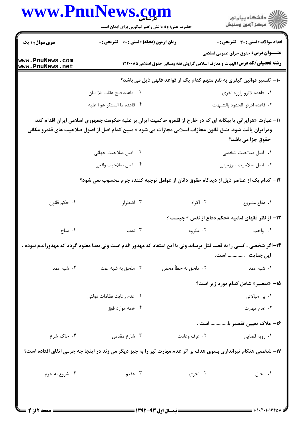## www.PnuNews.com اران<br>الله دانشگاه پیام نور<br>الله مرکز آزمون وسنجش حضرت علی(ع): دانش راهبر نیکویی برای ایمان است **تعداد سوالات : تستي : 30 ٪ تشريحي : 0 سری سوال : ۱ یک زمان آزمون (دقیقه) : تستی : 60 گشریحی: 0 عنـــوان درس:** حقوق جزای عمومی اسلامی www.PnuNews.com **رشته تحصیلی/کد درس:**الهیات و معارف اسلامی گرایش فقه ومبانی حقوق اسلامی1۲۲۰۰۸۵ www.PnuNews.net ∙ا− تفسیر قوانین کیفری به نفع متهم کدام یک از قواعد فقهی ذیل می باشد؟ ٢. قاعده قبح عقاب بلا بيان ۰۱ قاعده لاتزو وازره اخری ۰۴ قاعده ما الستكر هو ا عليه ٠٣ قاعده ادرئوا الحدود بالشبهات 11- عبارت «هرایرانی یا بیگانه ای که در خارج از قلمرو حاکمیت ایران بر علیه حکومت جمهوری اسلامی ایران اقدام کند ودرایران یافت شود. طبق قانون مجازات اسلامی مجازات می شود.» مبین کدام اصل از اصول صلاحیت های قلمرو مکانی حقوق جزا مي باشد؟ ٢. اصل صلاحيت جهاني ۰۱ - اصل صلاحیت شخصی ۰۴ اصل صلاحت واقعی ۰۳ اصل صلاحیت سرزمینی ۱۲– کدام یک از عناصر ذیل از دیدگاه حقوق دانان از عوامل توجیه کننده جرم محسوب نمی شود؟ ۰۴ حکم قانون ۰۳ اضطرار ۰۲ اکراه ٠١ دفاع مشروع ۱۳- از نظر فقهای امامیه «حکم دفاع از نفس » چیست ؟ ۰۳ ندب ۰۲ مکروه ۰۴ مباح ۰۱ واجب ۱۴–اگر شخصی ، کسی را به قصد قتل برساند ولی با این اعتقاد که مهدور الدم است ولی بعدا معلوم گردد که مهدورالدم نبوده ، این جنایت .............. است. ۰۴ شیه عمد ٠٢ ملحق به خطأ محض ۰۳ ملحق به شبه عمد ۰۱ شىه عمد <mark>1۵</mark>- «تقصیر» شامل کدام مورد زیر است؟ ٠٢ عدم رعايت نظامات دولتي ۰۱ ب<sub>ی</sub> مبالاتی ۰۴ همه موارد فوق ۰۳ عدم مهارت ۱۶– ملاک تعیین تقصیر با.............. است . ۰۴ حاکم شرع ۰۲ عرف وعادت ۰۳ شارع مقدس ۰۱ ٫ویه قضایی ۱۷- شخصی هنگام تیراندازی بسوی هدف بر اثر عدم مهارت تیر را به چیز دیگر می زند در اینجا چه جرمی اتفاق افتاده است؟ ۰۴ شروع به جرم ۰۳ عقیم ۰۲ تجری ۰۱ محال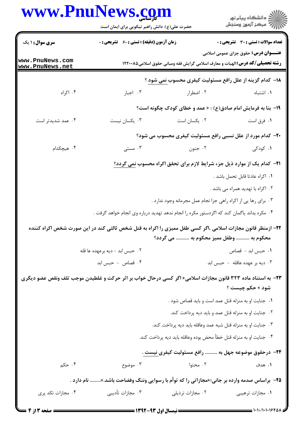## www.PnuNews.com

| <b>سری سوال : ۱ یک</b><br>www.PnuNews.com                                                                           | <b>زمان آزمون (دقیقه) : تستی : 60 ٪ تشریحی : 0</b>                                                          |                                                                                      |                                             |  |  |
|---------------------------------------------------------------------------------------------------------------------|-------------------------------------------------------------------------------------------------------------|--------------------------------------------------------------------------------------|---------------------------------------------|--|--|
|                                                                                                                     |                                                                                                             |                                                                                      | تعداد سوالات : تستى : 30 قشريحى : 0         |  |  |
| <u>www.PnuNews.net</u>                                                                                              |                                                                                                             | <b>رشته تحصیلی/کد درس:</b> الهیات و معارف اسلامی گرایش فقه ومبانی حقوق اسلامی1۲۲۰۰۸۵ | <b>عنـــوان درس:</b> حقوق جزای عمومی اسلامی |  |  |
|                                                                                                                     |                                                                                                             | ۱۸- کدام گزینه از علل رافع مسئولیت کیفری محسوب نمی شود ؟                             |                                             |  |  |
| ۰۴ اکراه                                                                                                            | ۰۳ اجبار                                                                                                    | ۰۲ اضطرار                                                                            | ۰۱ اشتباه                                   |  |  |
|                                                                                                                     |                                                                                                             | ۱۹- بنا به فرمایش امام صادق(ع) : « عمد و خطای کودک چگونه است؟                        |                                             |  |  |
| ۰۴ عمد شدیدتر است                                                                                                   | ۰۳ يکسان نيست                                                                                               | ٠٢ يكسان است                                                                         | ۰۱ فرق است                                  |  |  |
|                                                                                                                     |                                                                                                             | 20- کدام مورد از علل نسبی رافع مسئولیت کیفری محسوب می شود؟                           |                                             |  |  |
| ۰۴ هیچکدام                                                                                                          | ۰۳ مستبی                                                                                                    | ۰۲ جنون                                                                              | ۰۱ کودکی                                    |  |  |
|                                                                                                                     | <b>۲۱</b> - کدام یک از موارد ذیل جزء شرایط لازم برای تحقق اکراه محسوب <u>نمی</u> گردد؟                      |                                                                                      |                                             |  |  |
|                                                                                                                     |                                                                                                             |                                                                                      | ٠١. اكراه عادتا قابل تحمل باشد .            |  |  |
|                                                                                                                     |                                                                                                             |                                                                                      | ۰۲ اکراه با تهدید همراه می باشد .           |  |  |
|                                                                                                                     |                                                                                                             | ۰۳ برای رها یی از اکراه راهی جزا نجام عمل مجرمانه وجود ندارد .                       |                                             |  |  |
|                                                                                                                     | ۰۴ مکره بداند یاگمان کند که اگردستور مکره را انجام ندهد تهدید درباره وی انجام خواهد گرفت .                  |                                                                                      |                                             |  |  |
|                                                                                                                     | ۲۲- ازمنظر قانون مجازات اسلامی ،اگر کسی طفل ممیزی را اکراه به قتل شخص ثالثی کند در این صورت شخص اکراه کننده | محکوم به  وطفل ممیز محکوم به  می گردد؟                                               |                                             |  |  |
|                                                                                                                     | ۰۲ حبس ابد - ديه برعهده عا قله                                                                              |                                                                                      | ٠١ حبس ابد - قصاص                           |  |  |
|                                                                                                                     | ۰۴ قصاص - حبس ابد                                                                                           |                                                                                      | ۰۳ دیه بر عهده عاقله - حبس ابد              |  |  |
| <b>۲۳</b> - به استناد ماده ۳۲۳ قانون مجازات اسلامی« اگر کسی درحال خواب بر اثر حرکت و غلطیدن موجب تلف ونقص عضو دیگری |                                                                                                             |                                                                                      |                                             |  |  |
|                                                                                                                     |                                                                                                             |                                                                                      | <b>شود » حکم چیست ؟</b>                     |  |  |
|                                                                                                                     |                                                                                                             | ٠١ جنايت او به منزله قتل عمد است و بايد قصاص شود .                                   |                                             |  |  |
|                                                                                                                     |                                                                                                             | ۰۲ جنایت او به منزله قتل عمد و باید دیه پرداخت کند.                                  |                                             |  |  |
|                                                                                                                     |                                                                                                             | ۰۳ جنایت او به منزله قتل شبه عمد وعاقله باید دیه پرداخت کند.                         |                                             |  |  |
|                                                                                                                     |                                                                                                             | ۰۴ جنايت او به منزله قتل خطأ محض بوده وعاقله بايد ديه پرداخت كند.                    |                                             |  |  |
|                                                                                                                     | ۲۴– درحقوق موضوعه جهل به ………. رافع مسئولیت کیفری نیست .                                                     |                                                                                      |                                             |  |  |
| ۰۴ حکم                                                                                                              | ۰۳ موضوع                                                                                                    | ۰۲ محتوا                                                                             | ۰۱ هدف                                      |  |  |
|                                                                                                                     | <b>۳۵</b> – براساس صدمه وارده بر جانی؛«مجازاتی را که توأم با رسوایی وننگ وفضاحت باشد.» نام دارد .           |                                                                                      |                                             |  |  |
| ۰۴ مجازات تکد پری                                                                                                   | ۰۳ مجازات تأديبي                                                                                            | ۰۲ مجازات ترذیلی                                                                     | ۰۱ مجازات ترهيبي                            |  |  |